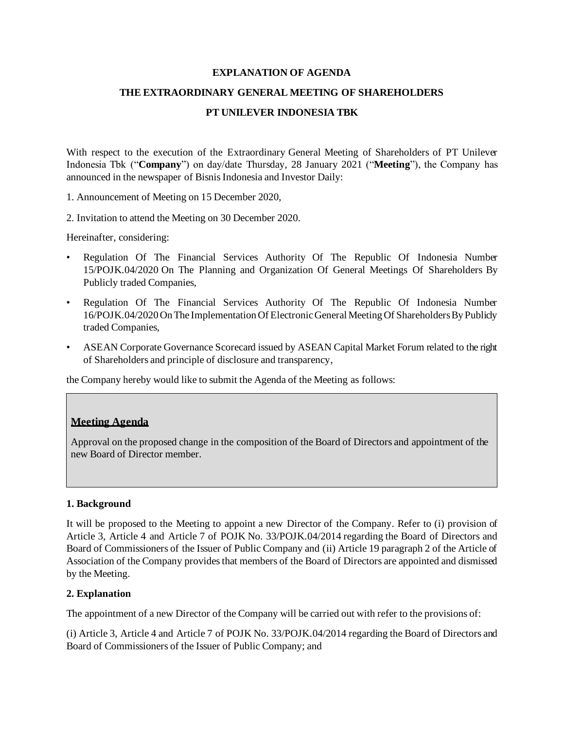#### **EXPLANATION OF AGENDA**

#### **THE EXTRAORDINARY GENERAL MEETING OF SHAREHOLDERS**

#### **PT UNILEVER INDONESIA TBK**

With respect to the execution of the Extraordinary General Meeting of Shareholders of PT Unilever Indonesia Tbk ("**Company**") on day/date Thursday, 28 January 2021 ("**Meeting**"), the Company has announced in the newspaper of Bisnis Indonesia and Investor Daily:

1. Announcement of Meeting on 15 December 2020,

2. Invitation to attend the Meeting on 30 December 2020.

Hereinafter, considering:

- Regulation Of The Financial Services Authority Of The Republic Of Indonesia Number 15/POJK.04/2020 On The Planning and Organization Of General Meetings Of Shareholders By Publicly traded Companies,
- Regulation Of The Financial Services Authority Of The Republic Of Indonesia Number 16/POJK.04/2020 On The Implementation Of Electronic General Meeting Of Shareholders By Publicly traded Companies,
- ASEAN Corporate Governance Scorecard issued by ASEAN Capital Market Forum related to the right of Shareholders and principle of disclosure and transparency,

the Company hereby would like to submit the Agenda of the Meeting as follows:

## **Meeting Agenda**

Approval on the proposed change in the composition of the Board of Directors and appointment of the new Board of Director member.

## **1. Background**

It will be proposed to the Meeting to appoint a new Director of the Company. Refer to (i) provision of Article 3, Article 4 and Article 7 of POJK No. 33/POJK.04/2014 regarding the Board of Directors and Board of Commissioners of the Issuer of Public Company and (ii) Article 19 paragraph 2 of the Article of Association of the Company provides that members of the Board of Directors are appointed and dismissed by the Meeting.

## **2. Explanation**

The appointment of a new Director of the Company will be carried out with refer to the provisions of:

(i) Article 3, Article 4 and Article 7 of POJK No. 33/POJK.04/2014 regarding the Board of Directors and Board of Commissioners of the Issuer of Public Company; and